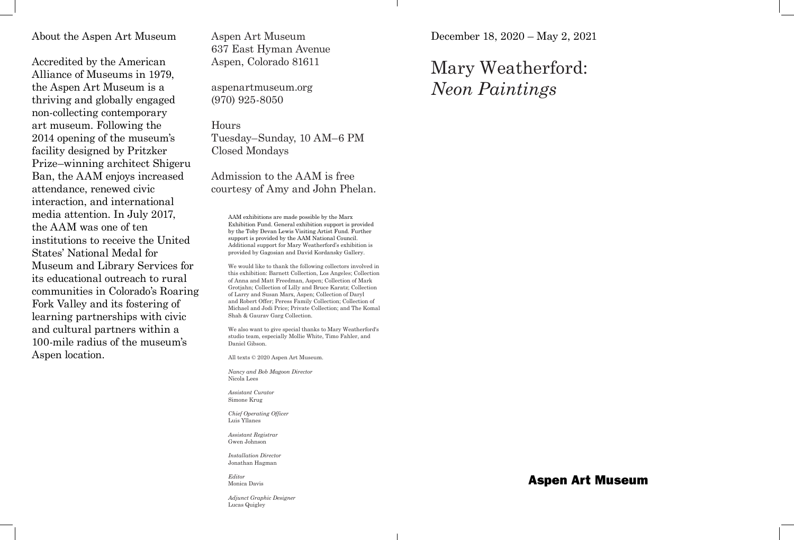## About the Aspen Art Museum

Accredited by the American Alliance of Museums in 1979, the Aspen Art Museum is a thriving and globally engaged non-collecting contemporary art museum. Following the 2014 opening of the museum's facility designed by Pritzker Prize–winning architect Shigeru Ban, the AAM enjoys increased attendance, renewed civic interaction, and international media attention. In July 2017, the AAM was one of ten institutions to receive the United States' National Medal for Museum and Library Services for its educational outreach to rural communities in Colorado's Roaring Fork Valley and its fostering of learning partnerships with civic and cultural partners within a 100-mile radius of the museum's Aspen location.

Aspen Art Museum 637 East Hyman Avenue Aspen, Colorado 81611

aspenartmuseum.org (970) 925-8050

Hours Tuesday–Sunday, 10 AM–6 PM Closed Mondays

Admission to the AAM is free courtesy of Amy and John Phelan.

AAM exhibitions are made possible by the Marx Exhibition Fund. General exhibition support is provided by the Toby Devan Lewis Visiting Artist Fund. Further support is provided by the AAM National Council. Additional support for Mary Weatherford's exhibition is provided by Gagosian and David Kordansky Gallery.

We would like to thank the following collectors involved in this exhibition: Barnett Collection, Los Angeles; Collection of Anna and Matt Freedman, Aspen; Collection of Mark Grotjahn; Collection of Lilly and Bruce Karatz; Collection of Larry and Susan Marx, Aspen; Collection of Daryl and Robert Offer; Peress Family Collection; Collection of Michael and Jodi Price; Private Collection; and The Komal Shah & Gaurav Garg Collection.

We also want to give special thanks to Mary Weatherford's studio team, especially Mollie White, Timo Fahler, and Daniel Gibson.

All texts © 2020 Aspen Art Museum.

*Nancy and Bob Magoon Director*  Nicola Lees

*Assistant Curator* Simone Krug

*Chief Operating Officer*  Luis Yllanes

*Assistant Registrar*  Gwen Johnson

*Installation Director*  Jonathan Hagman

*Editor*  Monica Davis

*Adjunct Graphic Designer*  Lucas Quigley

December 18, 2020 – May 2, 2021

## Mary Weatherford: *Neon Paintings*

## Aspen Art Museum